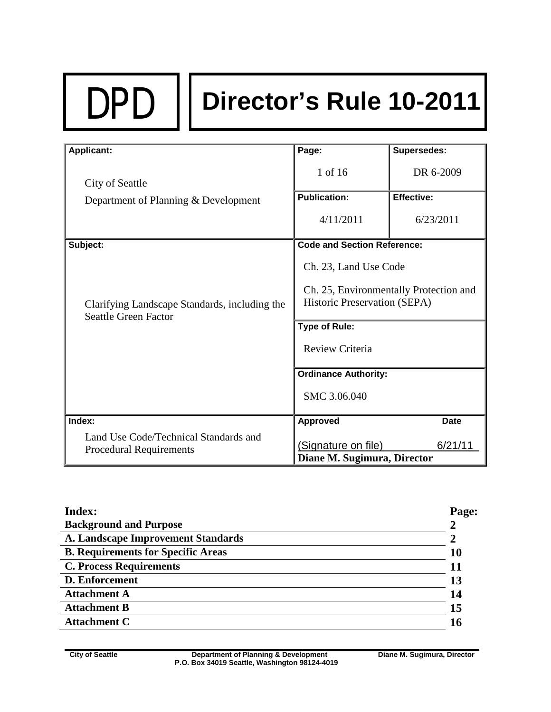# DPD **Director's Rule 10-2011**

| <b>Applicant:</b>                                                            | Page:                                  | Supersedes:       |  |
|------------------------------------------------------------------------------|----------------------------------------|-------------------|--|
| City of Seattle                                                              | 1 of 16                                | DR 6-2009         |  |
| Department of Planning & Development                                         | <b>Publication:</b>                    | <b>Effective:</b> |  |
|                                                                              | 4/11/2011                              | 6/23/2011         |  |
|                                                                              |                                        |                   |  |
| Subject:                                                                     | <b>Code and Section Reference:</b>     |                   |  |
|                                                                              | Ch. 23, Land Use Code                  |                   |  |
|                                                                              | Ch. 25, Environmentally Protection and |                   |  |
| Clarifying Landscape Standards, including the<br><b>Seattle Green Factor</b> | Historic Preservation (SEPA)           |                   |  |
|                                                                              | <b>Type of Rule:</b>                   |                   |  |
|                                                                              | Review Criteria                        |                   |  |
|                                                                              |                                        |                   |  |
|                                                                              | <b>Ordinance Authority:</b>            |                   |  |
|                                                                              | SMC 3.06.040                           |                   |  |
|                                                                              |                                        |                   |  |
| Index:                                                                       | <b>Approved</b>                        | <b>Date</b>       |  |
| Land Use Code/Technical Standards and                                        |                                        |                   |  |
| <b>Procedural Requirements</b>                                               | (Signature on file)                    | 6/21/11           |  |
|                                                                              | Diane M. Sugimura, Director            |                   |  |

| <b>Index:</b>                             | Page: |
|-------------------------------------------|-------|
| <b>Background and Purpose</b>             |       |
| A. Landscape Improvement Standards        |       |
| <b>B. Requirements for Specific Areas</b> | 10    |
| <b>C. Process Requirements</b>            |       |
| <b>D. Enforcement</b>                     | 13    |
| <b>Attachment A</b>                       | 14    |
| <b>Attachment B</b>                       | 15    |
| <b>Attachment C</b>                       | 16    |
|                                           |       |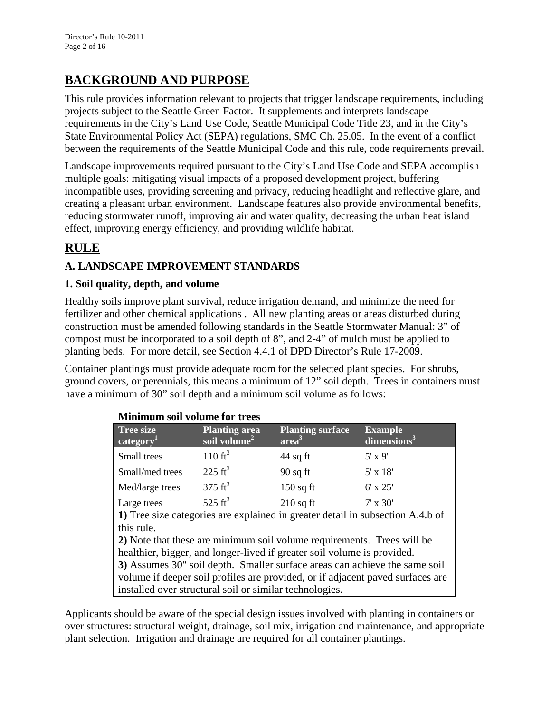# **BACKGROUND AND PURPOSE**

This rule provides information relevant to projects that trigger landscape requirements, including projects subject to the Seattle Green Factor. It supplements and interprets landscape requirements in the City's Land Use Code, Seattle Municipal Code Title 23, and in the City's State Environmental Policy Act (SEPA) regulations, SMC Ch. 25.05. In the event of a conflict between the requirements of the Seattle Municipal Code and this rule, code requirements prevail.

Landscape improvements required pursuant to the City's Land Use Code and SEPA accomplish multiple goals: mitigating visual impacts of a proposed development project, buffering incompatible uses, providing screening and privacy, reducing headlight and reflective glare, and creating a pleasant urban environment. Landscape features also provide environmental benefits, reducing stormwater runoff, improving air and water quality, decreasing the urban heat island effect, improving energy efficiency, and providing wildlife habitat.

# **RULE**

## **A. LANDSCAPE IMPROVEMENT STANDARDS**

#### **1. Soil quality, depth, and volume**

Healthy soils improve plant survival, reduce irrigation demand, and minimize the need for fertilizer and other chemical applications . All new planting areas or areas disturbed during construction must be amended following standards in the Seattle Stormwater Manual: 3" of compost must be incorporated to a soil depth of 8", and 2-4" of mulch must be applied to planting beds. For more detail, see Section 4.4.1 of DPD Director's Rule 17-2009.

Container plantings must provide adequate room for the selected plant species. For shrubs, ground covers, or perennials, this means a minimum of 12" soil depth. Trees in containers must have a minimum of 30" soil depth and a minimum soil volume as follows:

| <b>Minimum soil volume for trees</b>                                           |                                                  |                                              |                                           |  |  |  |
|--------------------------------------------------------------------------------|--------------------------------------------------|----------------------------------------------|-------------------------------------------|--|--|--|
| <b>Tree size</b><br>category <sup>1</sup>                                      | <b>Planting area</b><br>soil volume <sup>2</sup> | <b>Planting surface</b><br>area <sup>3</sup> | <b>Example</b><br>dimensions <sup>3</sup> |  |  |  |
| Small trees                                                                    | 110 $ft^3$                                       | $44$ sq ft                                   | $5' \times 9'$                            |  |  |  |
| Small/med trees                                                                | $225 \text{ ft}^3$                               | $90$ sq ft                                   | $5' \times 18'$                           |  |  |  |
| Med/large trees                                                                | $375 \text{ ft}^3$                               | $150$ sq ft                                  | $6' \times 25'$                           |  |  |  |
| Large trees                                                                    | 525 $ft^3$                                       | $210$ sq ft                                  | $7'$ x $30'$                              |  |  |  |
| 1) Tree size categories are explained in greater detail in subsection A.4.b of |                                                  |                                              |                                           |  |  |  |
| this rule.                                                                     |                                                  |                                              |                                           |  |  |  |
| 2) Note that these are minimum soil volume requirements. Trees will be         |                                                  |                                              |                                           |  |  |  |
| healthier, bigger, and longer-lived if greater soil volume is provided.        |                                                  |                                              |                                           |  |  |  |
| 3) Assumes 30" soil depth. Smaller surface areas can achieve the same soil     |                                                  |                                              |                                           |  |  |  |
| volume if deeper soil profiles are provided, or if adjacent paved surfaces are |                                                  |                                              |                                           |  |  |  |
| installed over structural soil or similar technologies.                        |                                                  |                                              |                                           |  |  |  |

Applicants should be aware of the special design issues involved with planting in containers or over structures: structural weight, drainage, soil mix, irrigation and maintenance, and appropriate plant selection. Irrigation and drainage are required for all container plantings.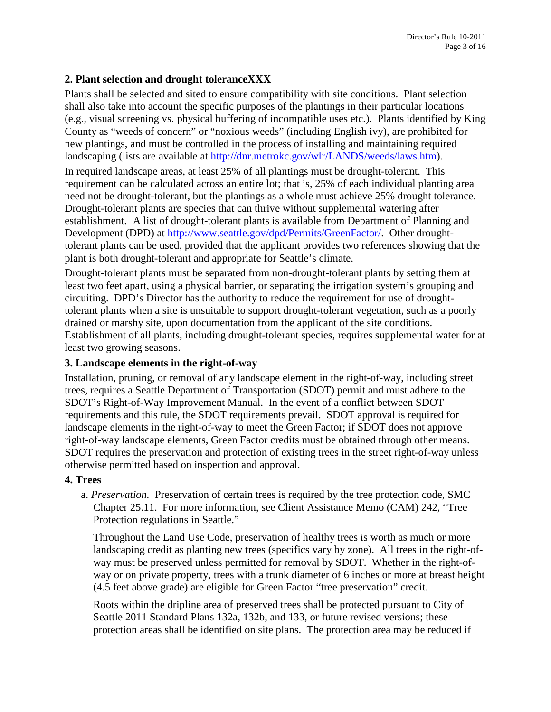#### **2. Plant selection and drought toleranceXXX**

Plants shall be selected and sited to ensure compatibility with site conditions. Plant selection shall also take into account the specific purposes of the plantings in their particular locations (e.g., visual screening vs. physical buffering of incompatible uses etc.). Plants identified by King County as "weeds of concern" or "noxious weeds" (including English ivy), are prohibited for new plantings, and must be controlled in the process of installing and maintaining required landscaping (lists are available at [http://dnr.metrokc.gov/wlr/LANDS/weeds/laws.htm\)](http://dnr.metrokc.gov/wlr/LANDS/weeds/laws.htm).

In required landscape areas, at least 25% of all plantings must be drought-tolerant. This requirement can be calculated across an entire lot; that is, 25% of each individual planting area need not be drought-tolerant, but the plantings as a whole must achieve 25% drought tolerance. Drought-tolerant plants are species that can thrive without supplemental watering after establishment. A list of drought-tolerant plants is available from Department of Planning and Development (DPD) at [http://www.seattle.gov/dpd/Permits/GreenFactor/.](http://www.seattle.gov/dpd/Permits/GreenFactor/) Other droughttolerant plants can be used, provided that the applicant provides two references showing that the plant is both drought-tolerant and appropriate for Seattle's climate.

Drought-tolerant plants must be separated from non-drought-tolerant plants by setting them at least two feet apart, using a physical barrier, or separating the irrigation system's grouping and circuiting. DPD's Director has the authority to reduce the requirement for use of droughttolerant plants when a site is unsuitable to support drought-tolerant vegetation, such as a poorly drained or marshy site, upon documentation from the applicant of the site conditions. Establishment of all plants, including drought-tolerant species, requires supplemental water for at least two growing seasons.

#### **3. Landscape elements in the right-of-way**

Installation, pruning, or removal of any landscape element in the right-of-way, including street trees, requires a Seattle Department of Transportation (SDOT) permit and must adhere to the SDOT's Right-of-Way Improvement Manual. In the event of a conflict between SDOT requirements and this rule, the SDOT requirements prevail. SDOT approval is required for landscape elements in the right-of-way to meet the Green Factor; if SDOT does not approve right-of-way landscape elements, Green Factor credits must be obtained through other means. SDOT requires the preservation and protection of existing trees in the street right-of-way unless otherwise permitted based on inspection and approval.

#### **4. Trees**

a. *Preservation.* Preservation of certain trees is required by the tree protection code, SMC Chapter 25.11. For more information, see Client Assistance Memo (CAM) 242, "Tree Protection regulations in Seattle."

Throughout the Land Use Code, preservation of healthy trees is worth as much or more landscaping credit as planting new trees (specifics vary by zone). All trees in the right-ofway must be preserved unless permitted for removal by SDOT. Whether in the right-ofway or on private property, trees with a trunk diameter of 6 inches or more at breast height (4.5 feet above grade) are eligible for Green Factor "tree preservation" credit.

Roots within the dripline area of preserved trees shall be protected pursuant to City of Seattle 2011 Standard Plans 132a, 132b, and 133, or future revised versions; these protection areas shall be identified on site plans. The protection area may be reduced if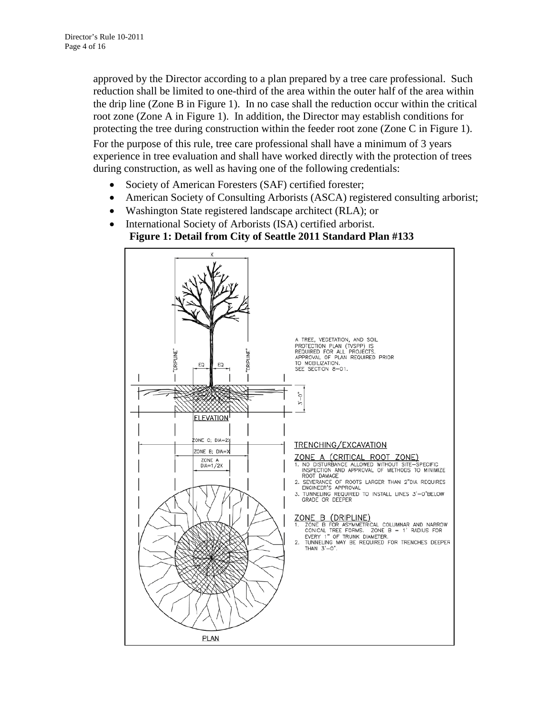approved by the Director according to a plan prepared by a tree care professional. Such reduction shall be limited to one-third of the area within the outer half of the area within the drip line (Zone B in Figure 1). In no case shall the reduction occur within the critical root zone (Zone A in Figure 1). In addition, the Director may establish conditions for protecting the tree during construction within the feeder root zone (Zone C in Figure 1).

For the purpose of this rule, tree care professional shall have a minimum of 3 years experience in tree evaluation and shall have worked directly with the protection of trees during construction, as well as having one of the following credentials:

- Society of American Foresters (SAF) certified forester;
- American Society of Consulting Arborists (ASCA) registered consulting arborist;
- Washington State registered landscape architect (RLA); or
- International Society of Arborists (ISA) certified arborist.

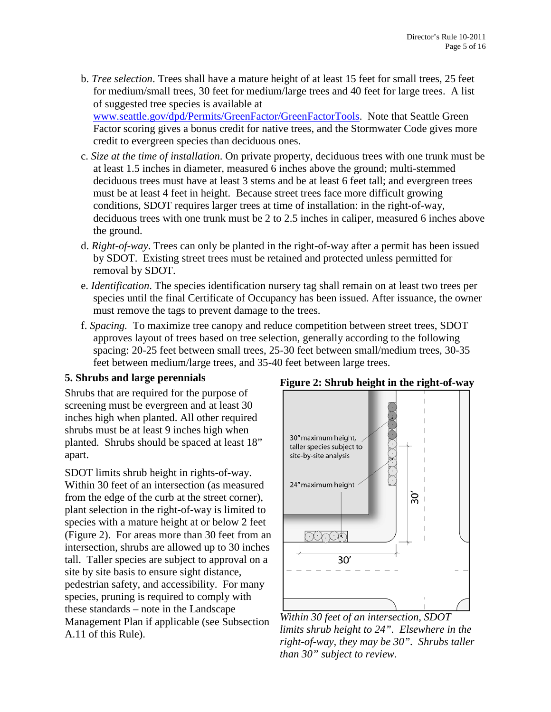b. *Tree selection*. Trees shall have a mature height of at least 15 feet for small trees, 25 feet for medium/small trees, 30 feet for medium/large trees and 40 feet for large trees. A list of suggested tree species is available at [www.seattle.gov/dpd/Permits/GreenFactor/GreenFactorTools.](http://www.seattle.gov/dpd/Permits/GreenFactor/GreenFactorTools) Note that Seattle Green

Factor scoring gives a bonus credit for native trees, and the Stormwater Code gives more credit to evergreen species than deciduous ones.

- c. *Size at the time of installation*. On private property, deciduous trees with one trunk must be at least 1.5 inches in diameter, measured 6 inches above the ground; multi-stemmed deciduous trees must have at least 3 stems and be at least 6 feet tall; and evergreen trees must be at least 4 feet in height. Because street trees face more difficult growing conditions, SDOT requires larger trees at time of installation: in the right-of-way, deciduous trees with one trunk must be 2 to 2.5 inches in caliper, measured 6 inches above the ground.
- d. *Right-of-way*. Trees can only be planted in the right-of-way after a permit has been issued by SDOT. Existing street trees must be retained and protected unless permitted for removal by SDOT.
- e. *Identification*. The species identification nursery tag shall remain on at least two trees per species until the final Certificate of Occupancy has been issued. After issuance, the owner must remove the tags to prevent damage to the trees.
- f. *Spacing.* To maximize tree canopy and reduce competition between street trees, SDOT approves layout of trees based on tree selection, generally according to the following spacing: 20-25 feet between small trees, 25-30 feet between small/medium trees, 30-35 feet between medium/large trees, and 35-40 feet between large trees.

#### **5. Shrubs and large perennials**

Shrubs that are required for the purpose of screening must be evergreen and at least 30 inches high when planted. All other required shrubs must be at least 9 inches high when planted. Shrubs should be spaced at least 18" apart.

SDOT limits shrub height in rights-of-way. Within 30 feet of an intersection (as measured from the edge of the curb at the street corner), plant selection in the right-of-way is limited to species with a mature height at or below 2 feet (Figure 2). For areas more than 30 feet from an intersection, shrubs are allowed up to 30 inches tall. Taller species are subject to approval on a site by site basis to ensure sight distance, pedestrian safety, and accessibility. For many species, pruning is required to comply with these standards – note in the Landscape Management Plan if applicable (see Subsection A.11 of this Rule).



*Within 30 feet of an intersection, SDOT limits shrub height to 24". Elsewhere in the right-of-way, they may be 30". Shrubs taller than 30" subject to review.*

#### **Figure 2: Shrub height in the right-of-way**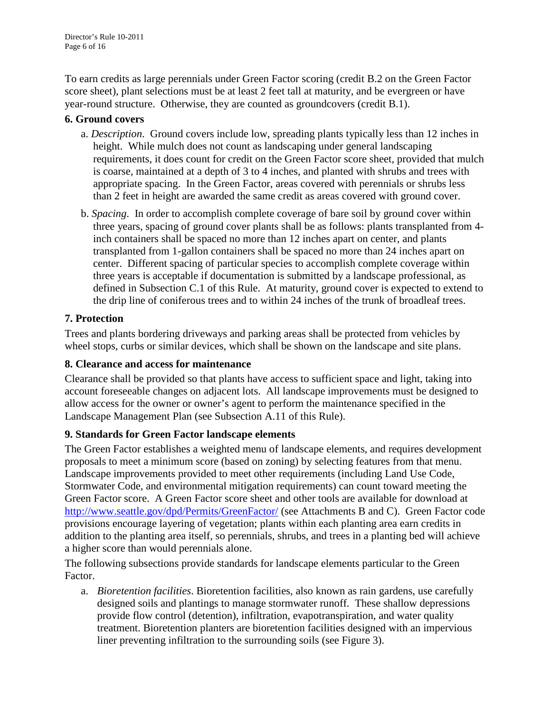To earn credits as large perennials under Green Factor scoring (credit B.2 on the Green Factor score sheet), plant selections must be at least 2 feet tall at maturity, and be evergreen or have year-round structure. Otherwise, they are counted as groundcovers (credit B.1).

#### **6. Ground covers**

- a. *Description*. Ground covers include low, spreading plants typically less than 12 inches in height. While mulch does not count as landscaping under general landscaping requirements, it does count for credit on the Green Factor score sheet, provided that mulch is coarse, maintained at a depth of 3 to 4 inches, and planted with shrubs and trees with appropriate spacing. In the Green Factor, areas covered with perennials or shrubs less than 2 feet in height are awarded the same credit as areas covered with ground cover.
- b. *Spacing*. In order to accomplish complete coverage of bare soil by ground cover within three years, spacing of ground cover plants shall be as follows: plants transplanted from 4 inch containers shall be spaced no more than 12 inches apart on center, and plants transplanted from 1-gallon containers shall be spaced no more than 24 inches apart on center. Different spacing of particular species to accomplish complete coverage within three years is acceptable if documentation is submitted by a landscape professional, as defined in Subsection C.1 of this Rule. At maturity, ground cover is expected to extend to the drip line of coniferous trees and to within 24 inches of the trunk of broadleaf trees.

#### **7. Protection**

Trees and plants bordering driveways and parking areas shall be protected from vehicles by wheel stops, curbs or similar devices, which shall be shown on the landscape and site plans.

#### **8. Clearance and access for maintenance**

Clearance shall be provided so that plants have access to sufficient space and light, taking into account foreseeable changes on adjacent lots. All landscape improvements must be designed to allow access for the owner or owner's agent to perform the maintenance specified in the Landscape Management Plan (see Subsection A.11 of this Rule).

#### **9. Standards for Green Factor landscape elements**

The Green Factor establishes a weighted menu of landscape elements, and requires development proposals to meet a minimum score (based on zoning) by selecting features from that menu. Landscape improvements provided to meet other requirements (including Land Use Code, Stormwater Code, and environmental mitigation requirements) can count toward meeting the Green Factor score. A Green Factor score sheet and other tools are available for download at <http://www.seattle.gov/dpd/Permits/GreenFactor/> (see Attachments B and C). Green Factor code provisions encourage layering of vegetation; plants within each planting area earn credits in addition to the planting area itself, so perennials, shrubs, and trees in a planting bed will achieve a higher score than would perennials alone.

The following subsections provide standards for landscape elements particular to the Green Factor.

a. *Bioretention facilities*. Bioretention facilities, also known as rain gardens, use carefully designed soils and plantings to manage stormwater runoff. These shallow depressions provide flow control (detention), infiltration, evapotranspiration, and water quality treatment. Bioretention planters are bioretention facilities designed with an impervious liner preventing infiltration to the surrounding soils (see Figure 3).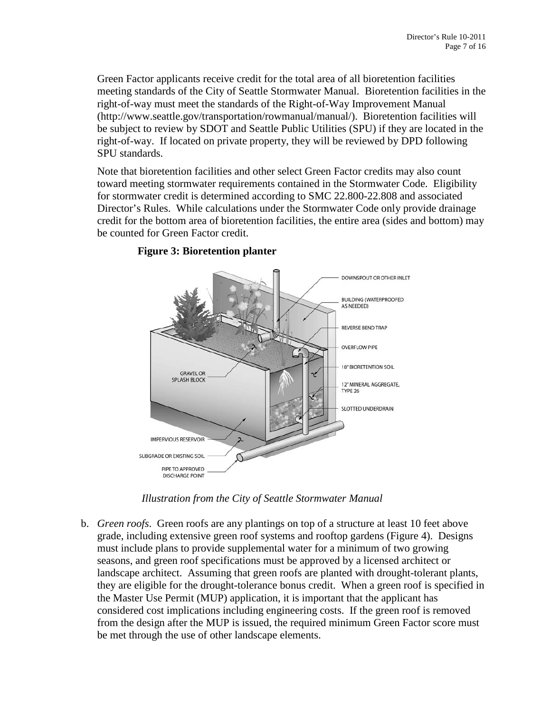Green Factor applicants receive credit for the total area of all bioretention facilities meeting standards of the City of Seattle Stormwater Manual. Bioretention facilities in the right-of-way must meet the standards of the Right-of-Way Improvement Manual (http://www.seattle.gov/transportation/rowmanual/manual/). Bioretention facilities will be subject to review by SDOT and Seattle Public Utilities (SPU) if they are located in the right-of-way. If located on private property, they will be reviewed by DPD following SPU standards.

Note that bioretention facilities and other select Green Factor credits may also count toward meeting stormwater requirements contained in the Stormwater Code. Eligibility for stormwater credit is determined according to SMC 22.800-22.808 and associated Director's Rules. While calculations under the Stormwater Code only provide drainage credit for the bottom area of bioretention facilities, the entire area (sides and bottom) may be counted for Green Factor credit.



#### **Figure 3: Bioretention planter**

*Illustration from the City of Seattle Stormwater Manual*

b. *Green roofs*. Green roofs are any plantings on top of a structure at least 10 feet above grade, including extensive green roof systems and rooftop gardens (Figure 4). Designs must include plans to provide supplemental water for a minimum of two growing seasons, and green roof specifications must be approved by a licensed architect or landscape architect. Assuming that green roofs are planted with drought-tolerant plants, they are eligible for the drought-tolerance bonus credit. When a green roof is specified in the Master Use Permit (MUP) application, it is important that the applicant has considered cost implications including engineering costs. If the green roof is removed from the design after the MUP is issued, the required minimum Green Factor score must be met through the use of other landscape elements.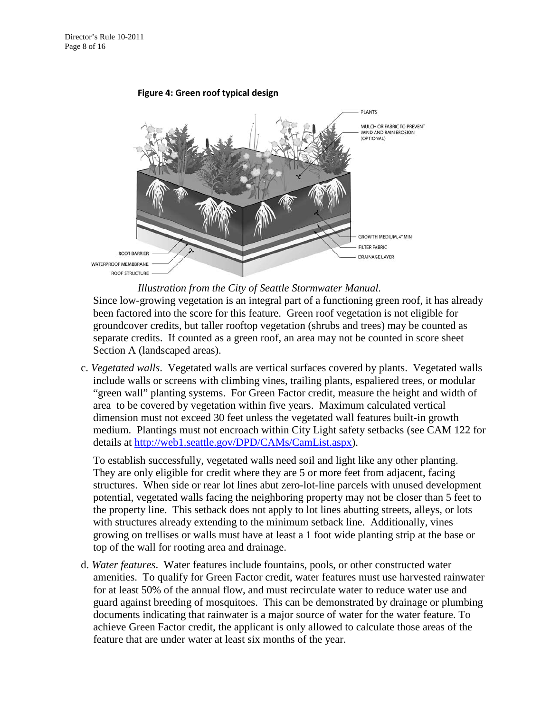#### **Figure 4: Green roof typical design**



Since low-growing vegetation is an integral part of a functioning green roof, it has already been factored into the score for this feature. Green roof vegetation is not eligible for groundcover credits, but taller rooftop vegetation (shrubs and trees) may be counted as separate credits. If counted as a green roof, an area may not be counted in score sheet Section A (landscaped areas).

c. *Vegetated walls*. Vegetated walls are vertical surfaces covered by plants. Vegetated walls include walls or screens with climbing vines, trailing plants, espaliered trees, or modular "green wall" planting systems. For Green Factor credit, measure the height and width of area to be covered by vegetation within five years. Maximum calculated vertical dimension must not exceed 30 feet unless the vegetated wall features built-in growth medium. Plantings must not encroach within City Light safety setbacks (see CAM 122 for details at [http://web1.seattle.gov/DPD/CAMs/CamList.aspx\)](http://web1.seattle.gov/DPD/CAMs/CamList.aspx).

To establish successfully, vegetated walls need soil and light like any other planting. They are only eligible for credit where they are 5 or more feet from adjacent, facing structures. When side or rear lot lines abut zero-lot-line parcels with unused development potential, vegetated walls facing the neighboring property may not be closer than 5 feet to the property line. This setback does not apply to lot lines abutting streets, alleys, or lots with structures already extending to the minimum setback line. Additionally, vines growing on trellises or walls must have at least a 1 foot wide planting strip at the base or top of the wall for rooting area and drainage.

d. *Water features*. Water features include fountains, pools, or other constructed water amenities. To qualify for Green Factor credit, water features must use harvested rainwater for at least 50% of the annual flow, and must recirculate water to reduce water use and guard against breeding of mosquitoes. This can be demonstrated by drainage or plumbing documents indicating that rainwater is a major source of water for the water feature. To achieve Green Factor credit, the applicant is only allowed to calculate those areas of the feature that are under water at least six months of the year.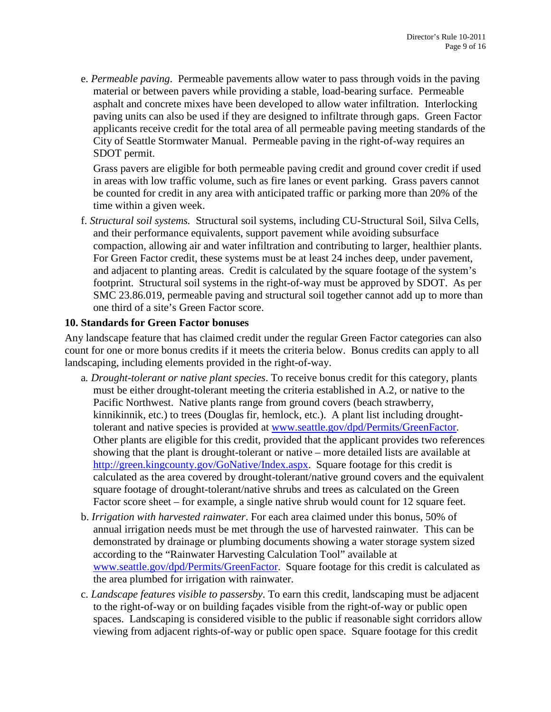e. *Permeable paving*. Permeable pavements allow water to pass through voids in the paving material or between pavers while providing a stable, load-bearing surface. Permeable asphalt and concrete mixes have been developed to allow water infiltration. Interlocking paving units can also be used if they are designed to infiltrate through gaps. Green Factor applicants receive credit for the total area of all permeable paving meeting standards of the City of Seattle Stormwater Manual. Permeable paving in the right-of-way requires an SDOT permit.

Grass pavers are eligible for both permeable paving credit and ground cover credit if used in areas with low traffic volume, such as fire lanes or event parking. Grass pavers cannot be counted for credit in any area with anticipated traffic or parking more than 20% of the time within a given week.

f. *Structural soil systems.* Structural soil systems, including CU-Structural Soil, Silva Cells, and their performance equivalents, support pavement while avoiding subsurface compaction, allowing air and water infiltration and contributing to larger, healthier plants. For Green Factor credit, these systems must be at least 24 inches deep, under pavement, and adjacent to planting areas. Credit is calculated by the square footage of the system's footprint. Structural soil systems in the right-of-way must be approved by SDOT. As per SMC 23.86.019, permeable paving and structural soil together cannot add up to more than one third of a site's Green Factor score.

#### **10. Standards for Green Factor bonuses**

Any landscape feature that has claimed credit under the regular Green Factor categories can also count for one or more bonus credits if it meets the criteria below. Bonus credits can apply to all landscaping, including elements provided in the right-of-way.

- a*. Drought-tolerant or native plant species*. To receive bonus credit for this category, plants must be either drought-tolerant meeting the criteria established in A.2, or native to the Pacific Northwest. Native plants range from ground covers (beach strawberry, kinnikinnik, etc.) to trees (Douglas fir, hemlock, etc.). A plant list including droughttolerant and native species is provided at [www.seattle.gov/dpd/Permits/GreenFactor.](http://www.seattle.gov/dpd/Permits/GreenFactor) Other plants are eligible for this credit, provided that the applicant provides two references showing that the plant is drought-tolerant or native – more detailed lists are available at [http://green.kingcounty.gov/GoNative/Index.aspx.](http://green.kingcounty.gov/GoNative/Index.aspx) Square footage for this credit is calculated as the area covered by drought-tolerant/native ground covers and the equivalent square footage of drought-tolerant/native shrubs and trees as calculated on the Green Factor score sheet – for example, a single native shrub would count for 12 square feet.
- b. *Irrigation with harvested rainwater*. For each area claimed under this bonus, 50% of annual irrigation needs must be met through the use of harvested rainwater. This can be demonstrated by drainage or plumbing documents showing a water storage system sized according to the "Rainwater Harvesting Calculation Tool" available at [www.seattle.gov/dpd/Permits/GreenFactor.](http://www.seattle.gov/dpd/Permits/GreenFactor) Square footage for this credit is calculated as the area plumbed for irrigation with rainwater.
- c. *Landscape features visible to passersby*. To earn this credit, landscaping must be adjacent to the right-of-way or on building façades visible from the right-of-way or public open spaces. Landscaping is considered visible to the public if reasonable sight corridors allow viewing from adjacent rights-of-way or public open space. Square footage for this credit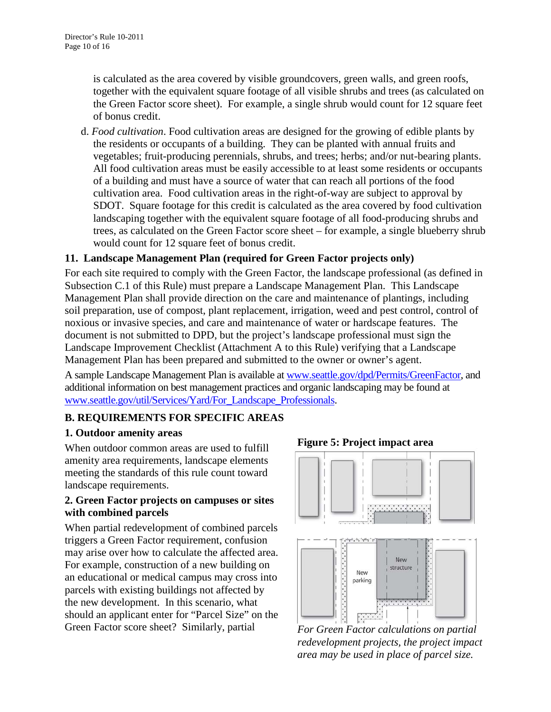is calculated as the area covered by visible groundcovers, green walls, and green roofs, together with the equivalent square footage of all visible shrubs and trees (as calculated on the Green Factor score sheet). For example, a single shrub would count for 12 square feet of bonus credit.

d. *Food cultivation*. Food cultivation areas are designed for the growing of edible plants by the residents or occupants of a building. They can be planted with annual fruits and vegetables; fruit-producing perennials, shrubs, and trees; herbs; and/or nut-bearing plants. All food cultivation areas must be easily accessible to at least some residents or occupants of a building and must have a source of water that can reach all portions of the food cultivation area. Food cultivation areas in the right-of-way are subject to approval by SDOT. Square footage for this credit is calculated as the area covered by food cultivation landscaping together with the equivalent square footage of all food-producing shrubs and trees, as calculated on the Green Factor score sheet – for example, a single blueberry shrub would count for 12 square feet of bonus credit.

#### **11. Landscape Management Plan (required for Green Factor projects only)**

For each site required to comply with the Green Factor, the landscape professional (as defined in Subsection C.1 of this Rule) must prepare a Landscape Management Plan. This Landscape Management Plan shall provide direction on the care and maintenance of plantings, including soil preparation, use of compost, plant replacement, irrigation, weed and pest control, control of noxious or invasive species, and care and maintenance of water or hardscape features. The document is not submitted to DPD, but the project's landscape professional must sign the Landscape Improvement Checklist (Attachment A to this Rule) verifying that a Landscape Management Plan has been prepared and submitted to the owner or owner's agent.

A sample Landscape Management Plan is available a[t www.seattle.gov/dpd/Permits/GreenFactor,](http://www.seattle.gov/dpd/Permits/GreenFactor) and additional information on best management practices and organic landscaping may be found at [www.seattle.gov/util/Services/Yard/For\\_Landscape\\_Professionals.](http://www.seattle.gov/util/Services/Yard/For_Landscape_Professionals)

#### **B. REQUIREMENTS FOR SPECIFIC AREAS**

#### **1. Outdoor amenity areas**

When outdoor common areas are used to fulfill amenity area requirements, landscape elements meeting the standards of this rule count toward landscape requirements.

#### **2. Green Factor projects on campuses or sites with combined parcels**

When partial redevelopment of combined parcels triggers a Green Factor requirement, confusion may arise over how to calculate the affected area. For example, construction of a new building on an educational or medical campus may cross into parcels with existing buildings not affected by the new development. In this scenario, what should an applicant enter for "Parcel Size" on the Green Factor score sheet? Similarly, partial



*For Green Factor calculations on partial redevelopment projects, the project impact area may be used in place of parcel size.*

#### **Figure 5: Project impact area**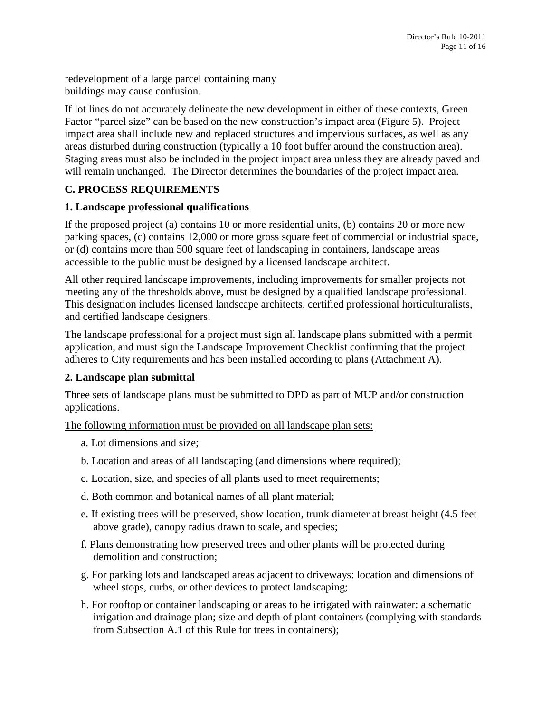redevelopment of a large parcel containing many buildings may cause confusion.

If lot lines do not accurately delineate the new development in either of these contexts, Green Factor "parcel size" can be based on the new construction's impact area (Figure 5). Project impact area shall include new and replaced structures and impervious surfaces, as well as any areas disturbed during construction (typically a 10 foot buffer around the construction area). Staging areas must also be included in the project impact area unless they are already paved and will remain unchanged. The Director determines the boundaries of the project impact area.

## **C. PROCESS REQUIREMENTS**

#### **1. Landscape professional qualifications**

If the proposed project (a) contains 10 or more residential units, (b) contains 20 or more new parking spaces, (c) contains 12,000 or more gross square feet of commercial or industrial space, or (d) contains more than 500 square feet of landscaping in containers, landscape areas accessible to the public must be designed by a licensed landscape architect.

All other required landscape improvements, including improvements for smaller projects not meeting any of the thresholds above, must be designed by a qualified landscape professional. This designation includes licensed landscape architects, certified professional horticulturalists, and certified landscape designers.

The landscape professional for a project must sign all landscape plans submitted with a permit application, and must sign the Landscape Improvement Checklist confirming that the project adheres to City requirements and has been installed according to plans (Attachment A).

#### **2. Landscape plan submittal**

Three sets of landscape plans must be submitted to DPD as part of MUP and/or construction applications.

The following information must be provided on all landscape plan sets:

- a. Lot dimensions and size;
- b. Location and areas of all landscaping (and dimensions where required);
- c. Location, size, and species of all plants used to meet requirements;
- d. Both common and botanical names of all plant material;
- e. If existing trees will be preserved, show location, trunk diameter at breast height (4.5 feet above grade), canopy radius drawn to scale, and species;
- f. Plans demonstrating how preserved trees and other plants will be protected during demolition and construction;
- g. For parking lots and landscaped areas adjacent to driveways: location and dimensions of wheel stops, curbs, or other devices to protect landscaping;
- h. For rooftop or container landscaping or areas to be irrigated with rainwater: a schematic irrigation and drainage plan; size and depth of plant containers (complying with standards from Subsection A.1 of this Rule for trees in containers);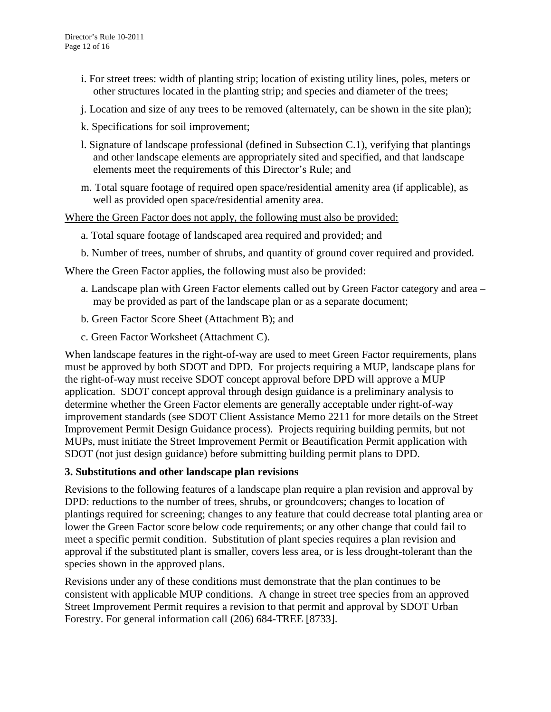- i. For street trees: width of planting strip; location of existing utility lines, poles, meters or other structures located in the planting strip; and species and diameter of the trees;
- j. Location and size of any trees to be removed (alternately, can be shown in the site plan);
- k. Specifications for soil improvement;
- l. Signature of landscape professional (defined in Subsection C.1), verifying that plantings and other landscape elements are appropriately sited and specified, and that landscape elements meet the requirements of this Director's Rule; and
- m. Total square footage of required open space/residential amenity area (if applicable), as well as provided open space/residential amenity area.

Where the Green Factor does not apply, the following must also be provided:

- a. Total square footage of landscaped area required and provided; and
- b. Number of trees, number of shrubs, and quantity of ground cover required and provided.

Where the Green Factor applies, the following must also be provided:

- a. Landscape plan with Green Factor elements called out by Green Factor category and area may be provided as part of the landscape plan or as a separate document;
- b. Green Factor Score Sheet (Attachment B); and
- c. Green Factor Worksheet (Attachment C).

When landscape features in the right-of-way are used to meet Green Factor requirements, plans must be approved by both SDOT and DPD. For projects requiring a MUP, landscape plans for the right-of-way must receive SDOT concept approval before DPD will approve a MUP application. SDOT concept approval through design guidance is a preliminary analysis to determine whether the Green Factor elements are generally acceptable under right-of-way improvement standards (see SDOT Client Assistance Memo 2211 for more details on the Street Improvement Permit Design Guidance process). Projects requiring building permits, but not MUPs, must initiate the Street Improvement Permit or Beautification Permit application with SDOT (not just design guidance) before submitting building permit plans to DPD.

#### **3. Substitutions and other landscape plan revisions**

Revisions to the following features of a landscape plan require a plan revision and approval by DPD: reductions to the number of trees, shrubs, or groundcovers; changes to location of plantings required for screening; changes to any feature that could decrease total planting area or lower the Green Factor score below code requirements; or any other change that could fail to meet a specific permit condition. Substitution of plant species requires a plan revision and approval if the substituted plant is smaller, covers less area, or is less drought-tolerant than the species shown in the approved plans.

Revisions under any of these conditions must demonstrate that the plan continues to be consistent with applicable MUP conditions. A change in street tree species from an approved Street Improvement Permit requires a revision to that permit and approval by SDOT Urban Forestry. For general information call (206) 684-TREE [8733].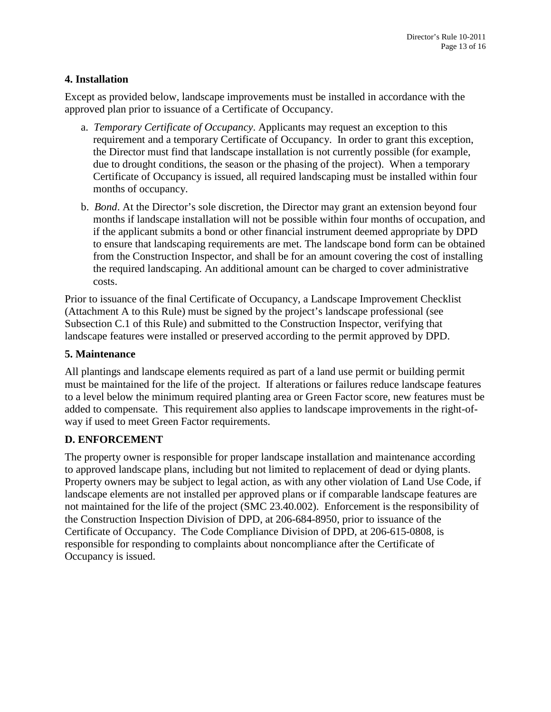#### **4. Installation**

Except as provided below, landscape improvements must be installed in accordance with the approved plan prior to issuance of a Certificate of Occupancy.

- a. *Temporary Certificate of Occupancy*. Applicants may request an exception to this requirement and a temporary Certificate of Occupancy. In order to grant this exception, the Director must find that landscape installation is not currently possible (for example, due to drought conditions, the season or the phasing of the project). When a temporary Certificate of Occupancy is issued, all required landscaping must be installed within four months of occupancy.
- b. *Bond*. At the Director's sole discretion, the Director may grant an extension beyond four months if landscape installation will not be possible within four months of occupation, and if the applicant submits a bond or other financial instrument deemed appropriate by DPD to ensure that landscaping requirements are met. The landscape bond form can be obtained from the Construction Inspector, and shall be for an amount covering the cost of installing the required landscaping. An additional amount can be charged to cover administrative costs.

Prior to issuance of the final Certificate of Occupancy, a Landscape Improvement Checklist (Attachment A to this Rule) must be signed by the project's landscape professional (see Subsection C.1 of this Rule) and submitted to the Construction Inspector, verifying that landscape features were installed or preserved according to the permit approved by DPD.

#### **5. Maintenance**

All plantings and landscape elements required as part of a land use permit or building permit must be maintained for the life of the project. If alterations or failures reduce landscape features to a level below the minimum required planting area or Green Factor score, new features must be added to compensate. This requirement also applies to landscape improvements in the right-ofway if used to meet Green Factor requirements.

#### **D. ENFORCEMENT**

The property owner is responsible for proper landscape installation and maintenance according to approved landscape plans, including but not limited to replacement of dead or dying plants. Property owners may be subject to legal action, as with any other violation of Land Use Code, if landscape elements are not installed per approved plans or if comparable landscape features are not maintained for the life of the project (SMC 23.40.002). Enforcement is the responsibility of the Construction Inspection Division of DPD, at 206-684-8950, prior to issuance of the Certificate of Occupancy. The Code Compliance Division of DPD, at 206-615-0808, is responsible for responding to complaints about noncompliance after the Certificate of Occupancy is issued.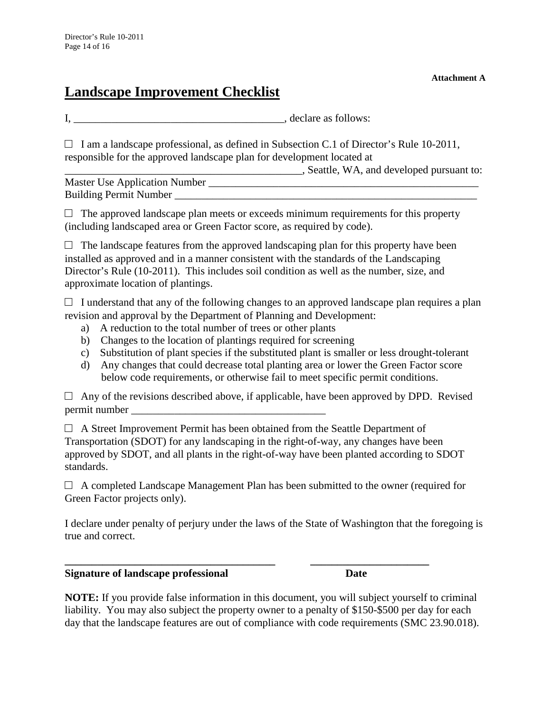# **Landscape Improvement Checklist**

**Attachment A**

I, \_\_\_\_\_\_\_\_\_\_\_\_\_\_\_\_\_\_\_\_\_\_\_\_\_\_\_\_\_\_\_\_\_\_\_\_\_\_\_, declare as follows:

 $\Box$  I am a landscape professional, as defined in Subsection C.1 of Director's Rule 10-2011, responsible for the approved landscape plan for development located at

\_\_\_\_\_\_\_\_\_\_\_\_\_\_\_\_\_\_\_\_\_\_\_\_\_\_\_\_\_\_\_\_\_\_\_\_\_\_\_\_\_\_\_\_, Seattle, WA, and developed pursuant to:

Master Use Application Number \_\_\_\_\_\_\_\_\_\_\_\_\_\_\_\_\_\_\_\_\_\_\_\_\_\_\_\_\_\_\_\_\_\_\_\_\_\_\_\_\_\_\_\_\_\_\_\_\_\_ Building Permit Number

 $\Box$  The approved landscape plan meets or exceeds minimum requirements for this property (including landscaped area or Green Factor score, as required by code).

 $\Box$  The landscape features from the approved landscaping plan for this property have been installed as approved and in a manner consistent with the standards of the Landscaping Director's Rule (10-2011). This includes soil condition as well as the number, size, and approximate location of plantings.

 $\Box$  I understand that any of the following changes to an approved landscape plan requires a plan revision and approval by the Department of Planning and Development:

- a) A reduction to the total number of trees or other plants
- b) Changes to the location of plantings required for screening
- c) Substitution of plant species if the substituted plant is smaller or less drought-tolerant
- d) Any changes that could decrease total planting area or lower the Green Factor score below code requirements, or otherwise fail to meet specific permit conditions.

 $\Box$  Any of the revisions described above, if applicable, have been approved by DPD. Revised permit number \_\_\_\_\_\_\_\_\_\_\_\_\_\_\_\_\_\_\_\_\_\_\_\_\_\_\_\_\_\_\_\_\_\_\_\_

 $\Box$  A Street Improvement Permit has been obtained from the Seattle Department of Transportation (SDOT) for any landscaping in the right-of-way, any changes have been approved by SDOT, and all plants in the right-of-way have been planted according to SDOT standards.

 $\Box$  A completed Landscape Management Plan has been submitted to the owner (required for Green Factor projects only).

**\_\_\_\_\_\_\_\_\_\_\_\_\_\_\_\_\_\_\_\_\_\_\_\_\_\_\_\_\_\_\_\_\_\_\_\_\_\_\_ \_\_\_\_\_\_\_\_\_\_\_\_\_\_\_\_\_\_\_\_\_\_**

I declare under penalty of perjury under the laws of the State of Washington that the foregoing is true and correct.

**Signature of landscape professional discussed by Date** 

**NOTE:** If you provide false information in this document, you will subject yourself to criminal liability. You may also subject the property owner to a penalty of \$150-\$500 per day for each day that the landscape features are out of compliance with code requirements (SMC 23.90.018).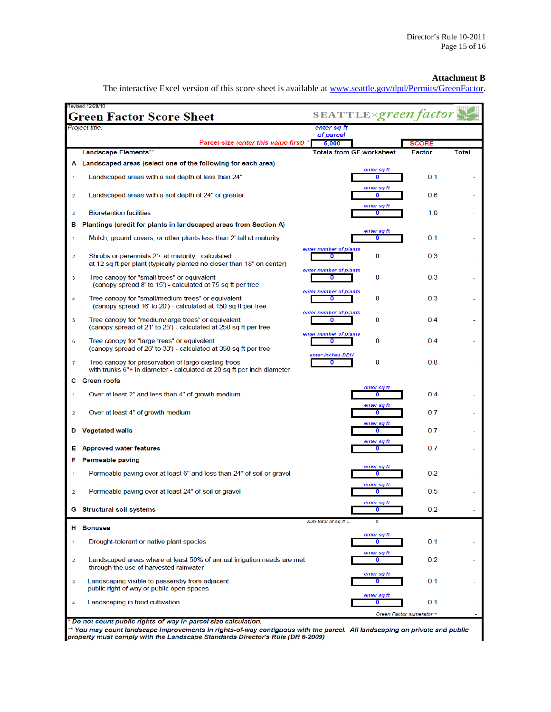#### **Attachment B**

The interactive Excel version of this score sheet is available at [www.seattle.gov/dpd/Permits/GreenFactor.](http://www.seattle.gov/dpd/Permits/GreenFactor)

|                         | Revised 12/28/10<br><b>Green Factor Score Sheet</b>                                                                            |                                                       | SEATTLE×green factor            |                                 |              |
|-------------------------|--------------------------------------------------------------------------------------------------------------------------------|-------------------------------------------------------|---------------------------------|---------------------------------|--------------|
|                         | Project title:                                                                                                                 | enter sq ft                                           |                                 |                                 |              |
|                         | Parcel size (enter this value first) *                                                                                         | of parcel<br>5,000                                    |                                 | <b>SCORE</b>                    |              |
|                         | Landscape Elements**                                                                                                           | <b>Totals from GF worksheet</b>                       |                                 | Factor                          | <b>Total</b> |
|                         | A Landscaped areas (select one of the following for each area)                                                                 |                                                       |                                 |                                 |              |
| 1                       | Landscaped areas with a soil depth of less than 24"                                                                            |                                                       | enter sq ft<br>0                | 0.1                             |              |
| 2                       | Landscaped areas with a soil depth of 24" or greater                                                                           |                                                       | enter sq ft<br>0                | 0.6                             |              |
| 3                       | <b>Bioretention facilities</b>                                                                                                 |                                                       | enter sq ft<br>0                | 1.0                             |              |
| в                       | Plantings (credit for plants in landscaped areas from Section A)                                                               |                                                       |                                 |                                 |              |
| -1                      | Mulch, ground covers, or other plants less than 2' tall at maturity                                                            |                                                       | enter sq ft<br>0                | 0.1                             |              |
| 2                       | Shrubs or perennials 2'+ at maturity - calculated<br>at 12 sq ft per plant (typically planted no closer than 18" on center)    | enter number of plants<br>0<br>enter number of plants | 0                               | 0.3                             |              |
| 3                       | Tree canopy for "small trees" or equivalent<br>(canopy spread 8' to 15') - calculated at 75 sq ft per tree                     | 0                                                     | 0                               | 0.3                             |              |
| 4                       | Tree canopy for "small/medium trees" or equivalent<br>(canopy spread 16' to 20') - calculated at 150 sq ft per tree            | enter number of plants<br>0                           | 0                               | 0.3                             |              |
| 5                       | Tree canopy for "medium/large trees" or equivalent<br>(canopy spread of 21' to 25') - calculated at 250 sq ft per tree         | enter number of plants<br>0                           | 0                               | 0.4                             |              |
| 6                       | Tree canopy for "large trees" or equivalent<br>(canopy spread of 26' to 30') - calculated at 350 sq ft per tree                | enter number of plants<br>0<br>enter inches DBH       | 0                               | 0.4                             |              |
| 7                       | Tree canopy for preservation of large existing trees<br>with trunks 6"+ in diameter - calculated at 20 sq ft per inch diameter | 0                                                     | 0                               | 0.8                             |              |
| C.                      | <b>Green roofs</b>                                                                                                             |                                                       |                                 |                                 |              |
| 1                       | Over at least 2" and less than 4" of growth medium                                                                             |                                                       | enter sq ft<br>0                | 0.4                             |              |
| $\overline{\mathbf{2}}$ | Over at least 4" of growth medium                                                                                              |                                                       | enter sq ft<br>0<br>enter sq ft | 0.7                             |              |
| D                       | <b>Vegetated walls</b>                                                                                                         |                                                       | 0<br>enter sq ft                | 0.7                             |              |
| Е                       | <b>Approved water features</b>                                                                                                 |                                                       | 0                               | 0.7                             |              |
| F                       | Permeable paving                                                                                                               |                                                       |                                 |                                 |              |
| 1                       | Permeable paving over at least 6" and less than 24" of soil or gravel                                                          |                                                       | enter sq ft<br>0                | 0.2                             |              |
| $\overline{2}$          | Permeable paving over at least 24" of soil or gravel                                                                           |                                                       | enter sq ft<br>0<br>enter sq ft | 0.5                             |              |
|                         | <b>G</b> Structural soil systems                                                                                               | sub-total of sq $ft =$                                | 0                               | 0.2                             |              |
| н.                      | <b>Bonuses</b>                                                                                                                 |                                                       |                                 |                                 |              |
| 1                       | Drought-tolerant or native plant species                                                                                       |                                                       | enter sq ft<br>0                | 0.1                             |              |
| $\overline{2}$          | Landscaped areas where at least 50% of annual irrigation needs are met<br>through the use of harvested rainwater               |                                                       | enter sq ft<br>0                | 0.2                             |              |
| 3                       | Landscaping visible to passersby from adjacent<br>public right of way or public open spaces                                    |                                                       | enter sq ft<br>0                | 0.1                             |              |
| 4                       | Landscaping in food cultivation                                                                                                |                                                       | enter sq ft<br>0                | 0.1<br>Green Factor numerator = |              |
|                         |                                                                                                                                |                                                       |                                 |                                 |              |

\* Do not count public rights-of-way in parcel size calculation.

the parties of the parties of the parties of the parties of the parties.<br>It You may count landscape improvements in rights-of-way contiguous with the parcel. All landscaping on private and public<br>property must comply with